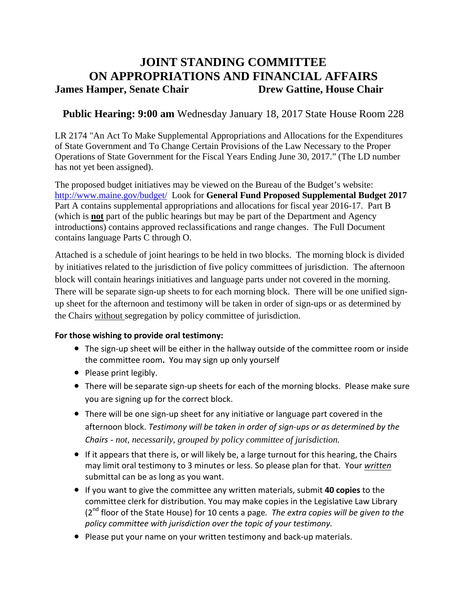# **JOINT STANDING COMMITTEE ON APPROPRIATIONS AND FINANCIAL AFFAIRS James Hamper, Senate Chair <b>Drew Gattine, House Chair**

## **Public Hearing: 9:00 am** Wednesday January 18, 2017 State House Room 228

LR 2174 "An Act To Make Supplemental Appropriations and Allocations for the Expenditures of State Government and To Change Certain Provisions of the Law Necessary to the Proper Operations of State Government for the Fiscal Years Ending June 30, 2017." (The LD number has not yet been assigned).

The proposed budget initiatives may be viewed on the Bureau of the Budget's website: http://www.maine.gov/budget/ Look for **General Fund Proposed Supplemental Budget 2017** Part A contains supplemental appropriations and allocations for fiscal year 2016-17. Part B (which is **not** part of the public hearings but may be part of the Department and Agency introductions) contains approved reclassifications and range changes. The Full Document contains language Parts C through O.

Attached is a schedule of joint hearings to be held in two blocks. The morning block is divided by initiatives related to the jurisdiction of five policy committees of jurisdiction. The afternoon block will contain hearings initiatives and language parts under not covered in the morning. There will be separate sign-up sheets to for each morning block. There will be one unified signup sheet for the afternoon and testimony will be taken in order of sign-ups or as determined by the Chairs without segregation by policy committee of jurisdiction.

## **For those wishing to provide oral testimony:**

- The sign-up sheet will be either in the hallway outside of the committee room or inside the committee room**.** You may sign up only yourself
- Please print legibly.
- There will be separate sign-up sheets for each of the morning blocks. Please make sure you are signing up for the correct block.
- There will be one sign-up sheet for any initiative or language part covered in the afternoon block. *Testimony will be taken in order of sign-ups or as determined by the Chairs - not, necessarily, grouped by policy committee of jurisdiction.*
- If it appears that there is, or will likely be, a large turnout for this hearing, the Chairs may limit oral testimony to 3 minutes or less. So please plan for that. Your *written* submittal can be as long as you want.
- If you want to give the committee any written materials, submit **40 copies** to the committee clerk for distribution. You may make copies in the Legislative Law Library (2nd floor of the State House) for 10 cents a page*. The extra copies will be given to the policy committee with jurisdiction over the topic of your testimony.*
- Please put your name on your written testimony and back-up materials.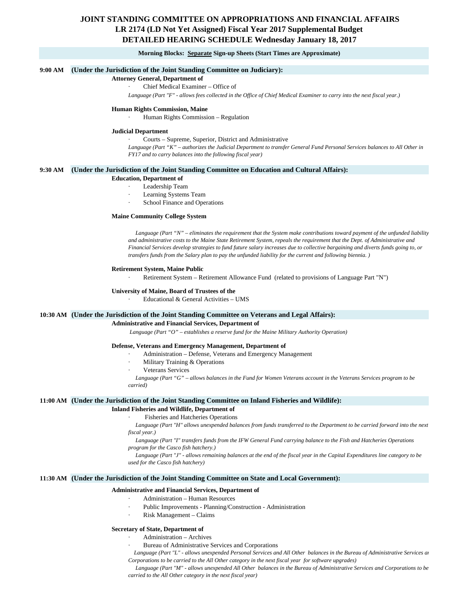## **JOINT STANDING COMMITTEE ON APPROPRIATIONS AND FINANCIAL AFFAIRS DETAILED HEARING SCHEDULE Wednesday January 18, 2017 LR 2174 (LD Not Yet Assigned) Fiscal Year 2017 Supplemental Budget**

#### **Morning Blocks: Separate Sign-up Sheets (Start Times are Approximate)**

#### **9:00 AM (Under the Jurisdiction of the Joint Standing Committee on Judiciary):**

#### **Attorney General, Department of**

#### Chief Medical Examiner - Office of

*Language (Part "F" - allows fees collected in the Office of Chief Medical Examiner to carry into the next fiscal year.)*

#### **Human Rights Commission, Maine**

· Human Rights Commission – Regulation

#### **Judicial Department**

· Courts – Supreme, Superior, District and Administrative

Language (Part "K" – authorizes the Judicial Department to transfer General Fund Personal Services balances to All Other in *FY17 and to carry balances into the following fiscal year)*

#### **9:30 AM (Under the Jurisdiction of the Joint Standing Committee on Education and Cultural Affairs):**

#### **Education, Department of**

- Leadership Team
- Learning Systems Team
- School Finance and Operations

#### **Maine Community College System**

 *Language (Part "N" – eliminates the requirement that the System make contributions toward payment of the unfunded liability and administrative costs to the Maine State Retirement System, repeals the requirement that the Dept. of Administrative and Financial Services develop strategies to fund future salary increases due to collective bargaining and diverts funds going to, or transfers funds from the Salary plan to pay the unfunded liability for the current and following biennia. )*

#### **Retirement System, Maine Public**

Retirement System - Retirement Allowance Fund (related to provisions of Language Part "N")

#### **University of Maine, Board of Trustees of the**

Educational & General Activities - UMS

## **10:30 AM (Under the Jurisdiction of the Joint Standing Committee on Veterans and Legal Affairs):**

**Administrative and Financial Services, Department of**

 *Language (Part "O" – establishes a reserve fund for the Maine Military Authority Operation)*

#### **Defense, Veterans and Emergency Management, Department of**

- Administration Defense, Veterans and Emergency Management
- Military Training & Operations
- Veterans Services

 *Language (Part "G" – allows balances in the Fund for Women Veterans account in the Veterans Services program to be carried)*

#### **11:00 AM (Under the Jurisdiction of the Joint Standing Committee on Inland Fisheries and Wildlife):**

## **Inland Fisheries and Wildlife, Department of**

## Fisheries and Hatcheries Operations

 *Language (Part "H" allows unexpended balances from funds transferred to the Department to be carried forward into the next fiscal year.)*

 *Language (Part "I" transfers funds from the IFW General Fund carrying balance to the Fish and Hatcheries Operations program for the Casco fish hatchery.)*

 *Language (Part "J" - allows remaining balances at the end of the fiscal year in the Capital Expenditures line category to be used for the Casco fish hatchery)*

#### **11:30 AM (Under the Jurisdiction of the Joint Standing Committee on State and Local Government):**

#### **Administrative and Financial Services, Department of**

- · Administration Human Resources
- Public Improvements Planning/Construction Administration
- Risk Management Claims

#### **Secretary of State, Department of**

#### Administration – Archives

Bureau of Administrative Services and Corporations

 *Language (Part "L" - allows unexpended Personal Services and All Other balances in the Bureau of Administrative Services an Corporations to be carried to the All Other category in the next fiscal year for software upgrades)*

 *Language (Part "M" - allows unexpended All Other balances in the Bureau of Administrative Services and Corporations to be carried to the All Other category in the next fiscal year)*